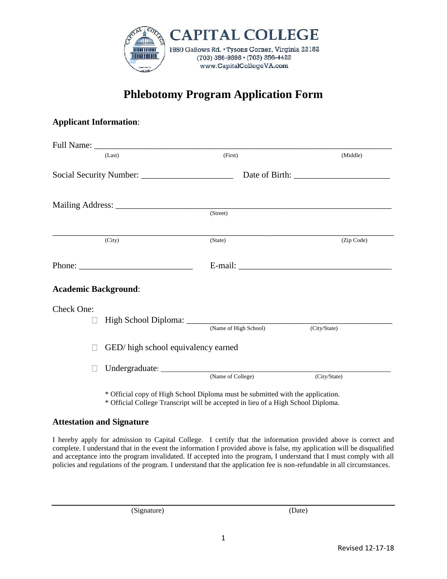

## **Phlebotomy Program Application Form**

## **Applicant Information**:

|                             | (Last)                                                    | (First)               | (Middle)     |
|-----------------------------|-----------------------------------------------------------|-----------------------|--------------|
|                             |                                                           |                       |              |
|                             | Mailing Address: (Street)                                 |                       |              |
|                             |                                                           |                       |              |
|                             | (City)                                                    | (State)               | (Zip Code)   |
|                             | Phone: $\frac{1}{\sqrt{1-\frac{1}{2}} \cdot \frac{1}{2}}$ |                       |              |
| <b>Academic Background:</b> |                                                           |                       |              |
| Check One:                  |                                                           |                       |              |
| $\sim$                      |                                                           | (Name of High School) | (City/State) |
| M                           | GED/ high school equivalency earned                       |                       |              |
|                             |                                                           |                       |              |

\* Official copy of High School Diploma must be submitted with the application. \* Official College Transcript will be accepted in lieu of a High School Diploma.

## **Attestation and Signature**

I hereby apply for admission to Capital College. I certify that the information provided above is correct and complete. I understand that in the event the information I provided above is false, my application will be disqualified and acceptance into the program invalidated. If accepted into the program, I understand that I must comply with all policies and regulations of the program. I understand that the application fee is non-refundable in all circumstances.

(Signature) (Date)